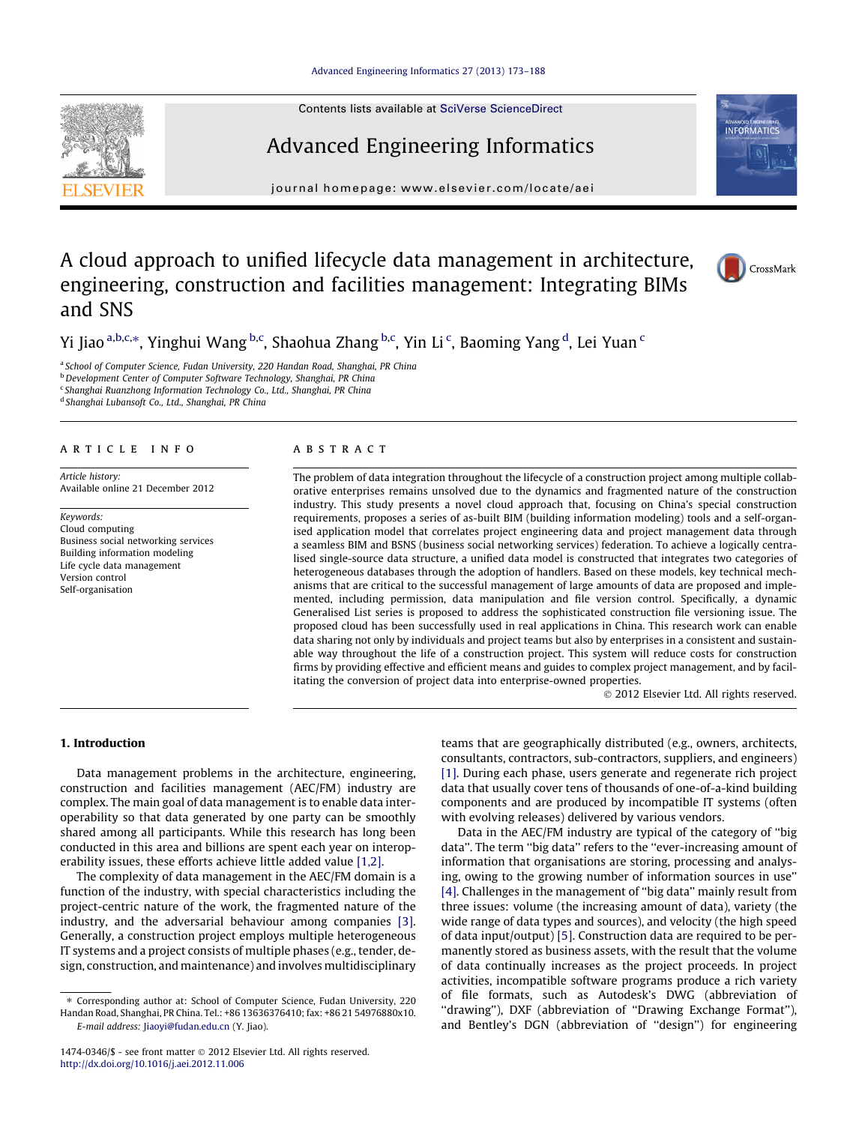Contents lists available at SciVerse ScienceDirect

# Advanced Engineering Informatics

journal homepage: [www.elsevier.com/locate/aei](http://www.elsevier.com/locate/aei)

# A cloud approach to unified lifecycle data management in architecture, engineering, construction and facilities management: Integrating BIMs and SNS



**INFORMATICS** 

Yi Jiao <sup>a,b,c,</sup>\*, Yinghui Wang <sup>b,c</sup>, Shaohua Zhang <sup>b,c</sup>, Yin Li <sup>c</sup>, Baoming Yang <sup>d</sup>, Lei Yuan <sup>c</sup>

<sup>a</sup> School of Computer Science, Fudan University, 220 Handan Road, Shanghai, PR China

b Development Center of Computer Software Technology, Shanghai, PR China

<sup>c</sup> Shanghai Ruanzhong Information Technology Co., Ltd., Shanghai, PR China

<sup>d</sup> Shanghai Lubansoft Co., Ltd., Shanghai, PR China

## article info

Article history: Available online 21 December 2012

Keywords: Cloud computing Business social networking services Building information modeling Life cycle data management Version control Self-organisation

## ABSTRACT

The problem of data integration throughout the lifecycle of a construction project among multiple collaborative enterprises remains unsolved due to the dynamics and fragmented nature of the construction industry. This study presents a novel cloud approach that, focusing on China's special construction requirements, proposes a series of as-built BIM (building information modeling) tools and a self-organised application model that correlates project engineering data and project management data through a seamless BIM and BSNS (business social networking services) federation. To achieve a logically centralised single-source data structure, a unified data model is constructed that integrates two categories of heterogeneous databases through the adoption of handlers. Based on these models, key technical mechanisms that are critical to the successful management of large amounts of data are proposed and implemented, including permission, data manipulation and file version control. Specifically, a dynamic Generalised List series is proposed to address the sophisticated construction file versioning issue. The proposed cloud has been successfully used in real applications in China. This research work can enable data sharing not only by individuals and project teams but also by enterprises in a consistent and sustainable way throughout the life of a construction project. This system will reduce costs for construction firms by providing effective and efficient means and guides to complex project management, and by facilitating the conversion of project data into enterprise-owned properties.

- 2012 Elsevier Ltd. All rights reserved.

# 1. Introduction

Data management problems in the architecture, engineering, construction and facilities management (AEC/FM) industry are complex. The main goal of data management is to enable data interoperability so that data generated by one party can be smoothly shared among all participants. While this research has long been conducted in this area and billions are spent each year on interoperability issues, these efforts achieve little added value [\[1,2\]](#page--1-0).

The complexity of data management in the AEC/FM domain is a function of the industry, with special characteristics including the project-centric nature of the work, the fragmented nature of the industry, and the adversarial behaviour among companies [\[3\].](#page--1-0) Generally, a construction project employs multiple heterogeneous IT systems and a project consists of multiple phases (e.g., tender, design, construction, and maintenance) and involves multidisciplinary

⇑ Corresponding author at: School of Computer Science, Fudan University, 220 Handan Road, Shanghai, PR China. Tel.: +86 13636376410; fax: +86 21 54976880x10. E-mail address: [Jiaoyi@fudan.edu.cn](mailto:Jiaoyi@fudan.edu.cn) (Y. Jiao).

teams that are geographically distributed (e.g., owners, architects, consultants, contractors, sub-contractors, suppliers, and engineers) [\[1\]](#page--1-0). During each phase, users generate and regenerate rich project data that usually cover tens of thousands of one-of-a- kind building components and are produced by incompatible IT systems (often with evolving releases) delivered by various vendors.

Data in the AEC/FM industry are typical of the category of ''big data". The term "big data" refers to the "ever-increasing amount of information that organisations are storing, processing and analysing, owing to the growing number of information sources in use" [\[4\]](#page--1-0). Challenges in the management of "big data" mainly result from three issues: volume (the increasing amount of data), variety (the wide range of data types and sources), and velocity (the high speed of data input/output) [\[5\]](#page--1-0). Construction data are required to be permanently stored as business assets, with the result that the volume of data continually increases as the project proceeds. In project activities, incompatible software programs produce a rich variety of file formats, such as Autodesk's DWG (abbreviation of "drawing"), DXF (abbreviation of "Drawing Exchange Format"), and Bentley's DGN (abbreviation of ''design'') for engineering



<sup>1474-0346/\$ -</sup> see front matter @ 2012 Elsevier Ltd. All rights reserved. <http://dx.doi.org/10.1016/j.aei.2012.11.006>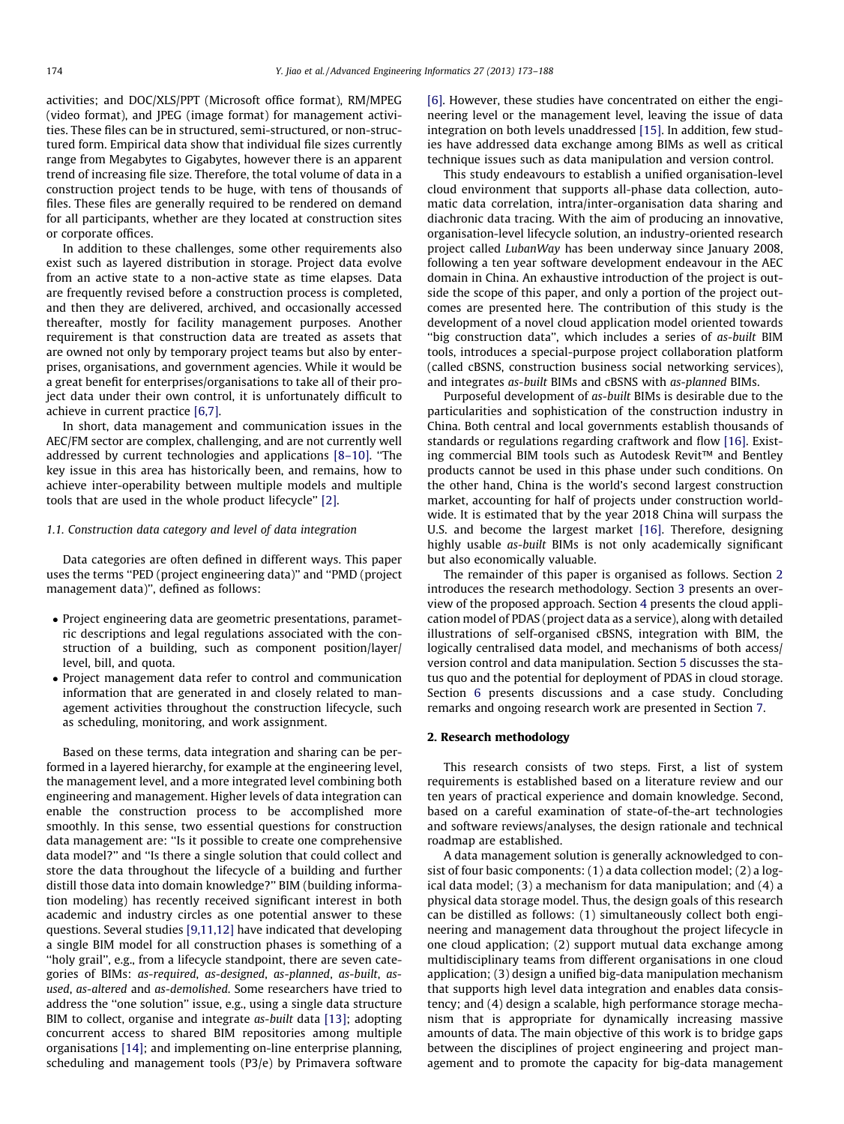activities; and DOC/XLS/PPT (Microsoft office format), RM/MPEG (video format), and IPEG (image format) for management activities. These files can be in structured, semi-structured, or non-structured form. Empirical data show that individual file sizes currently range from Megabytes to Gigabytes, however there is an apparent trend of increasing file size. Therefore, the total volume of data in a construction project tends to be huge, with tens of thousands of files. These files are generally required to be rendered on demand for all participants, whether are they located at construction sites or corporate offices.

In addition to these challenges, some other requirements also exist such as layered distribution in storage. Project data evolve from an active state to a non-active state as time elapses. Data are frequently revised before a construction process is completed, and then they are delivered, archived, and occasionally accessed thereafter, mostly for facility management purposes . Another requirement is that construction data are treated as assets that are owned not only by temporary project teams but also by enterprises, organisations, and government agencies. While it would be a great benefit for enterprises/organisations to take all of their project data under their own control, it is unfortunately difficult to achieve in current practice [\[6,7\]](#page--1-0).

In short, data management and communication issues in the AEC/FM sector are complex, challenging, and are not currently well addressed by current technologies and applications  $[8-10]$ . "The key issue in this area has historically been, and remains, how to achieve inter-operability between multiple models and multiple tools that are used in the whole product lifecycle'' [\[2\].](#page--1-0)

#### 1.1. Construction data category and level of data integration

Data categories are often defined in different ways. This paper uses the terms ''PED (project engineering data)'' and ''PMD (project management data)", defined as follows:

- Project engineering data are geometric presentations, parametric descriptions and legal regulations associated with the construction of a building, such as component position/layer/ level, bill, and quota.
- Project management data refer to control and communication information that are generated in and closely related to management activities throughout the construction lifecycle, such as scheduling, monitoring, and work assignment.

Based on these terms, data integration and sharing can be performed in a layered hierarchy, for example at the engineering level, the management level, and a more integrated level combining both engineering and management. Higher levels of data integration can enable the construction process to be accomplished more smoothly. In this sense, two essential questions for construction data management are: "Is it possible to create one comprehensive data model?'' and ''Is there a single solution that could collect and store the data throughout the lifecycle of a building and further distill those data into domain knowledge?'' BIM (building information modeling) has recently received significant interest in both academic and industry circles as one potential answer to these questions. Several studies [\[9,11,12\]](#page--1-0) have indicated that developing a single BIM model for all construction phases is something of a ''holy grail'', e.g., from a lifecycle standpoint, there are seven categories of BIMs: as-required, as-designed, as-planned, as-built, asused, as-altered and as-demolished. Some researchers have tried to address the ''one solution'' issue, e.g., using a single data structure BIM to collect, organise and integrate as-built data [\[13\];](#page--1-0) adopting concurrent access to shared BIM repositories among multiple organisations  $[14]$ ; and implementing on-line enterprise planning, scheduling and management tools ( $P3/e$ ) by Primavera software

[\[6\]](#page--1-0). However, these studies have concentrated on either the engineering level or the management level, leaving the issue of data integration on both levels unaddressed [\[15\].](#page--1-0) In addition, few studies have addressed data exchange among BIMs as well as critical technique issues such as data manipulation and version control.

This study endeavours to establish a unified organisation -level cloud environment that supports all-phase data collection, automatic data correlation, intra/inter-organisation data sharing and diachronic data tracing. With the aim of producing an innovative, organisation-level lifecycle solution, an industry-oriented research project called LubanWay has been underway since January 2008, following a ten year software development endeavour in the AEC domain in China. An exhaustive introduction of the project is outside the scope of this paper, and only a portion of the project outcomes are presented here. The contribution of this study is the development of a novel cloud application model oriented towards ''big construction data'', which includes a series of as-built BIM tools, introduces a special-purpose project collaboration platform (called cBSNS, construction business social networking services), and integrates as-built BIMs and cBSNS with as-planned BIMs.

Purposeful development of as-built BIMs is desirable due to the particularities and sophistication of the construction industry in China. Both central and local governments establish thousands of standards or regulations regarding craftwork and flow [\[16\].](#page--1-0) Existing commercial BIM tools such as Autodesk Revit™ and Bentley products cannot be used in this phase under such conditions. On the other hand, China is the world's second largest construction market, accounting for half of projects under construction worldwide. It is estimated that by the year 2018 China will surpass the U.S. and become the largest market [\[16\]](#page--1-0). Therefore, designing highly usable as-built BIMs is not only academically significant but also economically valuable.

The remainder of this paper is organised as follows. Section 2 introduces the research methodology. Section [3](#page--1-0) presents an overview of the proposed approach . Section [4](#page--1-0) presents the cloud application model of PDAS (project data as a service), along with detailed illustrations of self-organised cBSNS, integration with BIM, the logically centralised data model, and mechanisms of both access/ version control and data manipulation. Section [5](#page--1-0) discusses the status quo and the potential for deployment of PDAS in cloud storage. Section [6](#page--1-0) presents discussions and a case study. Concluding remarks and ongoing research work are presented in Section [7.](#page--1-0)

## 2. Research methodology

This research consists of two steps. First, a list of system requirements is established based on a literature review and our ten years of practical experience and domain knowledge. Second, based on a careful examination of state-of-the-art technologies and software reviews/analyses, the design rationale and technical roadmap are established.

A data management solution is generally acknowledged to consist of four basic components: (1) a data collection model; (2) a logical data model;  $(3)$  a mechanism for data manipulation; and  $(4)$  a physical data storage model. Thus, the design goals of this research can be distilled as follows: (1) simultaneously collect both engineering and management data throughout the project lifecycle in one cloud application; (2) support mutual data exchange among multidisciplinary teams from different organisations in one cloud application;  $(3)$  design a unified big-data manipulation mechanism that supports high level data integration and enables data consistency; and (4) design a scalable, high performance storage mechanism that is appropriate for dynamically increasing massive amounts of data. The main objective of this work is to bridge gaps between the disciplines of project engineering and project management and to promote the capacity for big-data management